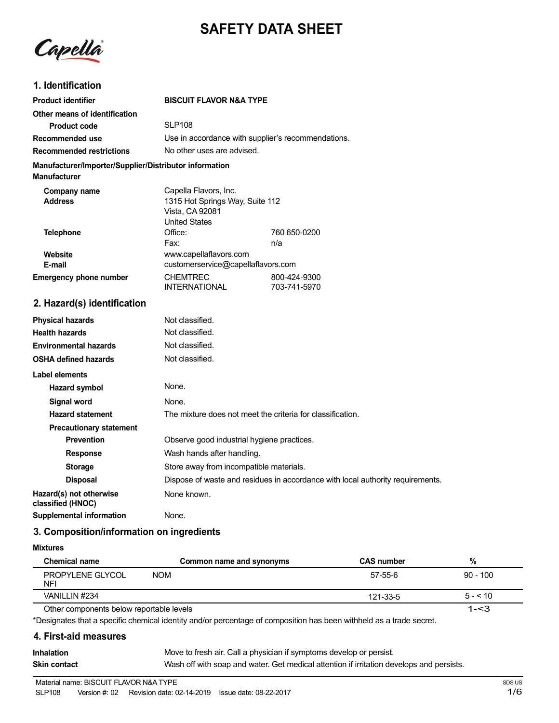# **SAFETY DATA SHEET**

Capella

# **1. Identification**

| <b>Product identifier</b>                                                     | <b>BISCUIT FLAVOR N&amp;A TYPE</b>                                                                  |                              |
|-------------------------------------------------------------------------------|-----------------------------------------------------------------------------------------------------|------------------------------|
| Other means of identification                                                 |                                                                                                     |                              |
| <b>Product code</b>                                                           | SI P <sub>108</sub>                                                                                 |                              |
| Recommended use                                                               | Use in accordance with supplier's recommendations.                                                  |                              |
| <b>Recommended restrictions</b>                                               | No other uses are advised.                                                                          |                              |
| Manufacturer/Importer/Supplier/Distributor information<br><b>Manufacturer</b> |                                                                                                     |                              |
| Company name<br><b>Address</b>                                                | Capella Flavors, Inc.<br>1315 Hot Springs Way, Suite 112<br>Vista, CA 92081<br><b>United States</b> |                              |
| <b>Telephone</b>                                                              | Office:                                                                                             | 760 650-0200                 |
|                                                                               | Fax:                                                                                                | n/a                          |
| Website                                                                       | www.capellaflavors.com                                                                              |                              |
| E-mail                                                                        | customerservice@capellaflavors.com<br><b>CHEMTREC</b>                                               |                              |
| <b>Emergency phone number</b>                                                 | <b>INTERNATIONAL</b>                                                                                | 800-424-9300<br>703-741-5970 |
| 2. Hazard(s) identification                                                   |                                                                                                     |                              |
| <b>Physical hazards</b>                                                       | Not classified.                                                                                     |                              |
| <b>Health hazards</b>                                                         | Not classified.                                                                                     |                              |
| <b>Environmental hazards</b>                                                  | Not classified.                                                                                     |                              |
| <b>OSHA defined hazards</b>                                                   | Not classified.                                                                                     |                              |
| Label elements                                                                |                                                                                                     |                              |
| Hazard symbol                                                                 | None.                                                                                               |                              |
| Signal word                                                                   | None.                                                                                               |                              |
| <b>Hazard statement</b>                                                       | The mixture does not meet the criteria for classification.                                          |                              |
| <b>Precautionary statement</b>                                                |                                                                                                     |                              |
| <b>Prevention</b>                                                             | Observe good industrial hygiene practices.                                                          |                              |
| <b>Response</b>                                                               | Wash hands after handling.                                                                          |                              |
| $\mathbf{A}$ $\mathbf{A}$ $\mathbf{A}$ $\mathbf{A}$ $\mathbf{A}$              | $\Omega$ to a construct of $\Omega$ and the construction of the local contract of $\Omega$          |                              |

**Storage** Store away from incompatible materials. **Disposal** Dispose of waste and residues in accordance with local authority requirements. **Hazard(s) not otherwise** None known. **classified (HNOC)**

**Supplemental information** None.

# **3. Composition/information on ingredients**

### **Mixtures**

| <b>Chemical name</b>                     | Common name and synonyms | <b>CAS number</b> | %          |
|------------------------------------------|--------------------------|-------------------|------------|
| PROPYLENE GLYCOL<br><b>NFI</b>           | <b>NOM</b>               | 57-55-6           | $90 - 100$ |
| VANILLIN #234                            |                          | 121-33-5          | $5 - 510$  |
| Other components below reportable levels |                          |                   | $1 - 3$    |

Other components below reportable levels

\*Designates that a specific chemical identity and/or percentage of composition has been withheld as a trade secret.

### **4. First-aid measures**

| <b>Inhalation</b> | Move to fresh air. Call a physician if symptoms develop or persist.                      |
|-------------------|------------------------------------------------------------------------------------------|
| Skin contact      | Wash off with soap and water. Get medical attention if irritation develops and persists. |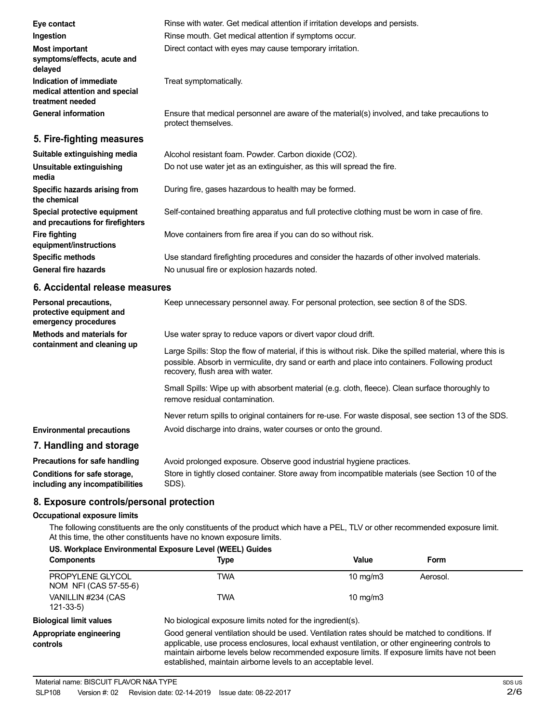| Eye contact                                                                  | Rinse with water. Get medical attention if irritation develops and persists.                                        |
|------------------------------------------------------------------------------|---------------------------------------------------------------------------------------------------------------------|
| Ingestion                                                                    | Rinse mouth. Get medical attention if symptoms occur.                                                               |
| <b>Most important</b><br>symptoms/effects, acute and<br>delayed              | Direct contact with eyes may cause temporary irritation.                                                            |
| Indication of immediate<br>medical attention and special<br>treatment needed | Treat symptomatically.                                                                                              |
| <b>General information</b>                                                   | Ensure that medical personnel are aware of the material(s) involved, and take precautions to<br>protect themselves. |
| 5. Fire-fighting measures                                                    |                                                                                                                     |
| Suitable extinguishing media                                                 | Alcohol resistant foam. Powder. Carbon dioxide (CO2).                                                               |
| Unsuitable extinguishing<br>media                                            | Do not use water jet as an extinguisher, as this will spread the fire.                                              |
| Specific hazards arising from<br>the chemical                                | During fire, gases hazardous to health may be formed.                                                               |
| Special protective equipment<br>and precautions for firefighters             | Self-contained breathing apparatus and full protective clothing must be worn in case of fire.                       |
| <b>Fire fighting</b><br>equipment/instructions                               | Move containers from fire area if you can do so without risk.                                                       |
| <b>Specific methods</b>                                                      | Use standard firefighting procedures and consider the hazards of other involved materials.                          |
| <b>General fire hazards</b>                                                  | No unusual fire or explosion hazards noted.                                                                         |

### **6. Accidental release measures**

| Personal precautions,<br>protective equipment and<br>emergency procedures | Keep unnecessary personnel away. For personal protection, see section 8 of the SDS.                                                                                                                                                               |
|---------------------------------------------------------------------------|---------------------------------------------------------------------------------------------------------------------------------------------------------------------------------------------------------------------------------------------------|
| <b>Methods and materials for</b>                                          | Use water spray to reduce vapors or divert vapor cloud drift.                                                                                                                                                                                     |
| containment and cleaning up                                               | Large Spills: Stop the flow of material, if this is without risk. Dike the spilled material, where this is<br>possible. Absorb in vermiculite, dry sand or earth and place into containers. Following product<br>recovery, flush area with water. |
|                                                                           | Small Spills: Wipe up with absorbent material (e.g. cloth, fleece). Clean surface thoroughly to<br>remove residual contamination.                                                                                                                 |
|                                                                           | Never return spills to original containers for re-use. For waste disposal, see section 13 of the SDS.                                                                                                                                             |
| <b>Environmental precautions</b>                                          | Avoid discharge into drains, water courses or onto the ground.                                                                                                                                                                                    |
| 7. Handling and storage                                                   |                                                                                                                                                                                                                                                   |
| <b>Precautions for safe handling</b>                                      | Avoid prolonged exposure. Observe good industrial hygiene practices.                                                                                                                                                                              |

**Conditions for safe storage, including any incompatibilities** Store in tightly closed container. Store away from incompatible materials (see Section 10 of the SDS).

### **8. Exposure controls/personal protection**

### **Occupational exposure limits**

The following constituents are the only constituents of the product which have a PEL, TLV or other recommended exposure limit. At this time, the other constituents have no known exposure limits.

| US. Workplace Environmental Exposure Level (WEEL) Guides |                                                                                                                                                                                                                                                                                                                                                                    |                   |          |
|----------------------------------------------------------|--------------------------------------------------------------------------------------------------------------------------------------------------------------------------------------------------------------------------------------------------------------------------------------------------------------------------------------------------------------------|-------------------|----------|
| <b>Components</b>                                        | Type                                                                                                                                                                                                                                                                                                                                                               | Value             | Form     |
| PROPYLENE GLYCOL<br>NOM NFI (CAS 57-55-6)                | TWA                                                                                                                                                                                                                                                                                                                                                                | $10 \text{ mg/m}$ | Aerosol. |
| VANILLIN #234 (CAS<br>121-33-5)                          | TWA                                                                                                                                                                                                                                                                                                                                                                | $10 \text{ mg/m}$ |          |
| <b>Biological limit values</b>                           | No biological exposure limits noted for the ingredient(s).                                                                                                                                                                                                                                                                                                         |                   |          |
| Appropriate engineering<br>controls                      | Good general ventilation should be used. Ventilation rates should be matched to conditions. If<br>applicable, use process enclosures, local exhaust ventilation, or other engineering controls to<br>maintain airborne levels below recommended exposure limits. If exposure limits have not been<br>established, maintain airborne levels to an acceptable level. |                   |          |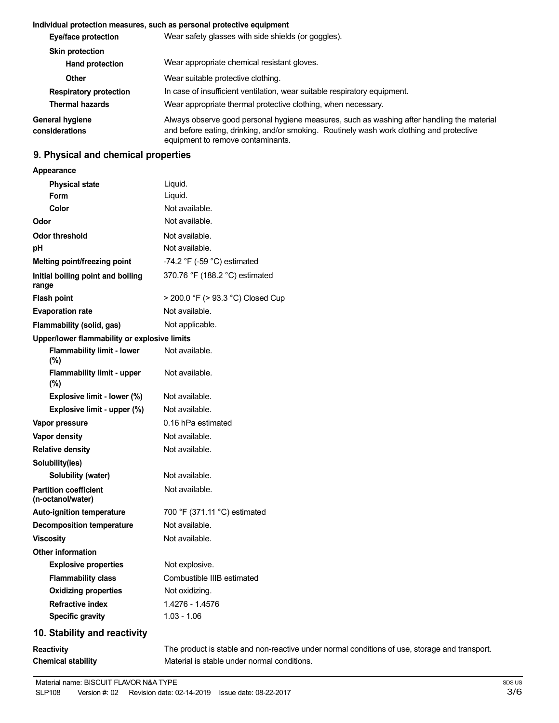### **Individual protection measures, such as personal protective equipment**

| Eye/face protection               | Wear safety glasses with side shields (or goggles).                                                                                                                                                                         |
|-----------------------------------|-----------------------------------------------------------------------------------------------------------------------------------------------------------------------------------------------------------------------------|
| <b>Skin protection</b>            |                                                                                                                                                                                                                             |
| <b>Hand protection</b>            | Wear appropriate chemical resistant gloves.                                                                                                                                                                                 |
| Other                             | Wear suitable protective clothing.                                                                                                                                                                                          |
| <b>Respiratory protection</b>     | In case of insufficient ventilation, wear suitable respiratory equipment.                                                                                                                                                   |
| <b>Thermal hazards</b>            | Wear appropriate thermal protective clothing, when necessary.                                                                                                                                                               |
| General hygiene<br>considerations | Always observe good personal hygiene measures, such as washing after handling the material<br>and before eating, drinking, and/or smoking. Routinely wash work clothing and protective<br>equipment to remove contaminants. |

# **9. Physical and chemical properties**

### **Appearance**

| <b>Physical state</b>                             | Liquid.                                                                                       |
|---------------------------------------------------|-----------------------------------------------------------------------------------------------|
| <b>Form</b>                                       | Liquid.                                                                                       |
| Color                                             | Not available.                                                                                |
| Odor                                              | Not available.                                                                                |
| <b>Odor threshold</b>                             | Not available.                                                                                |
| pH                                                | Not available.                                                                                |
| Melting point/freezing point                      | -74.2 $\degree$ F (-59 $\degree$ C) estimated                                                 |
| Initial boiling point and boiling<br>range        | 370.76 °F (188.2 °C) estimated                                                                |
| <b>Flash point</b>                                | > 200.0 °F (> 93.3 °C) Closed Cup                                                             |
| <b>Evaporation rate</b>                           | Not available.                                                                                |
| Flammability (solid, gas)                         | Not applicable.                                                                               |
| Upper/lower flammability or explosive limits      |                                                                                               |
| <b>Flammability limit - lower</b><br>(%)          | Not available.                                                                                |
| <b>Flammability limit - upper</b><br>(%)          | Not available.                                                                                |
| Explosive limit - lower (%)                       | Not available.                                                                                |
| Explosive limit - upper (%)                       | Not available.                                                                                |
| Vapor pressure                                    | 0.16 hPa estimated                                                                            |
| Vapor density                                     | Not available.                                                                                |
| <b>Relative density</b>                           | Not available.                                                                                |
| Solubility(ies)                                   |                                                                                               |
| Solubility (water)                                | Not available.                                                                                |
| <b>Partition coefficient</b><br>(n-octanol/water) | Not available.                                                                                |
| <b>Auto-ignition temperature</b>                  | 700 °F (371.11 °C) estimated                                                                  |
| <b>Decomposition temperature</b>                  | Not available.                                                                                |
| <b>Viscosity</b>                                  | Not available.                                                                                |
| Other information                                 |                                                                                               |
| <b>Explosive properties</b>                       | Not explosive.                                                                                |
| <b>Flammability class</b>                         | Combustible IIIB estimated                                                                    |
| <b>Oxidizing properties</b>                       | Not oxidizing.                                                                                |
| <b>Refractive index</b>                           | 1.4276 - 1.4576                                                                               |
| <b>Specific gravity</b>                           | $1.03 - 1.06$                                                                                 |
| 10. Stability and reactivity                      |                                                                                               |
| <b>Reactivity</b>                                 | The product is stable and non-reactive under normal conditions of use, storage and transport. |

Material is stable under normal conditions.

**Chemical stability**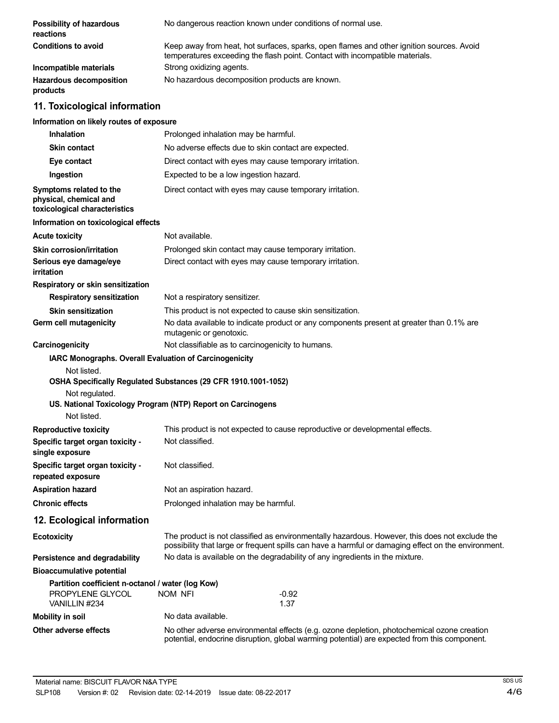| Possibility of hazardous<br>reactions                                                  | No dangerous reaction known under conditions of normal use.                                                                                                                                           |  |  |
|----------------------------------------------------------------------------------------|-------------------------------------------------------------------------------------------------------------------------------------------------------------------------------------------------------|--|--|
| <b>Conditions to avoid</b>                                                             | Keep away from heat, hot surfaces, sparks, open flames and other ignition sources. Avoid<br>temperatures exceeding the flash point. Contact with incompatible materials.                              |  |  |
| Incompatible materials                                                                 | Strong oxidizing agents.                                                                                                                                                                              |  |  |
| <b>Hazardous decomposition</b><br>products                                             | No hazardous decomposition products are known.                                                                                                                                                        |  |  |
| 11. Toxicological information                                                          |                                                                                                                                                                                                       |  |  |
| Information on likely routes of exposure                                               |                                                                                                                                                                                                       |  |  |
| <b>Inhalation</b>                                                                      | Prolonged inhalation may be harmful.                                                                                                                                                                  |  |  |
| <b>Skin contact</b>                                                                    | No adverse effects due to skin contact are expected.                                                                                                                                                  |  |  |
| Eye contact                                                                            | Direct contact with eyes may cause temporary irritation.                                                                                                                                              |  |  |
| Ingestion                                                                              | Expected to be a low ingestion hazard.                                                                                                                                                                |  |  |
| Symptoms related to the<br>physical, chemical and<br>toxicological characteristics     | Direct contact with eyes may cause temporary irritation.                                                                                                                                              |  |  |
| Information on toxicological effects                                                   |                                                                                                                                                                                                       |  |  |
| <b>Acute toxicity</b>                                                                  | Not available.                                                                                                                                                                                        |  |  |
| <b>Skin corrosion/irritation</b>                                                       | Prolonged skin contact may cause temporary irritation.                                                                                                                                                |  |  |
| Serious eye damage/eye<br>irritation                                                   | Direct contact with eyes may cause temporary irritation.                                                                                                                                              |  |  |
| Respiratory or skin sensitization                                                      |                                                                                                                                                                                                       |  |  |
| <b>Respiratory sensitization</b>                                                       | Not a respiratory sensitizer.                                                                                                                                                                         |  |  |
| <b>Skin sensitization</b>                                                              | This product is not expected to cause skin sensitization.                                                                                                                                             |  |  |
| Germ cell mutagenicity                                                                 | No data available to indicate product or any components present at greater than 0.1% are<br>mutagenic or genotoxic.                                                                                   |  |  |
| Carcinogenicity                                                                        | Not classifiable as to carcinogenicity to humans.                                                                                                                                                     |  |  |
| IARC Monographs. Overall Evaluation of Carcinogenicity                                 |                                                                                                                                                                                                       |  |  |
| Not listed.<br>Not regulated.<br>Not listed.                                           | OSHA Specifically Regulated Substances (29 CFR 1910.1001-1052)<br>US. National Toxicology Program (NTP) Report on Carcinogens                                                                         |  |  |
| <b>Reproductive toxicity</b>                                                           | This product is not expected to cause reproductive or developmental effects.                                                                                                                          |  |  |
| Specific target organ toxicity -<br>single exposure                                    | Not classified.                                                                                                                                                                                       |  |  |
| Specific target organ toxicity -<br>repeated exposure                                  | Not classified.                                                                                                                                                                                       |  |  |
| <b>Aspiration hazard</b>                                                               | Not an aspiration hazard.                                                                                                                                                                             |  |  |
| <b>Chronic effects</b>                                                                 | Prolonged inhalation may be harmful.                                                                                                                                                                  |  |  |
| 12. Ecological information                                                             |                                                                                                                                                                                                       |  |  |
| <b>Ecotoxicity</b>                                                                     | The product is not classified as environmentally hazardous. However, this does not exclude the<br>possibility that large or frequent spills can have a harmful or damaging effect on the environment. |  |  |
| Persistence and degradability                                                          | No data is available on the degradability of any ingredients in the mixture.                                                                                                                          |  |  |
| <b>Bioaccumulative potential</b>                                                       |                                                                                                                                                                                                       |  |  |
| Partition coefficient n-octanol / water (log Kow)<br>PROPYLENE GLYCOL<br>VANILLIN #234 | <b>NOM NFI</b><br>$-0.92$<br>1.37                                                                                                                                                                     |  |  |
| <b>Mobility in soil</b>                                                                | No data available.                                                                                                                                                                                    |  |  |
| Other adverse effects                                                                  | No other adverse environmental effects (e.g. ozone depletion, photochemical ozone creation<br>potential, endocrine disruption, global warming potential) are expected from this component.            |  |  |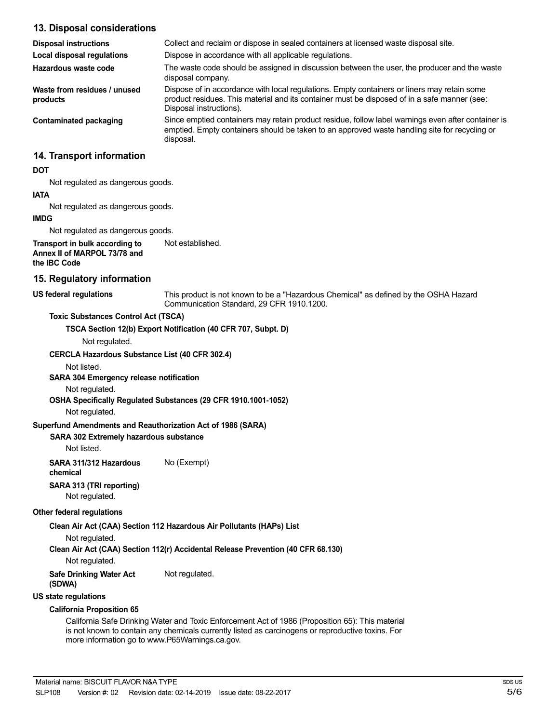### **13. Disposal considerations**

| 13. Disposal considerations                                                    |                                                                                                                                                                                                                        |
|--------------------------------------------------------------------------------|------------------------------------------------------------------------------------------------------------------------------------------------------------------------------------------------------------------------|
| <b>Disposal instructions</b>                                                   | Collect and reclaim or dispose in sealed containers at licensed waste disposal site.                                                                                                                                   |
| <b>Local disposal regulations</b>                                              | Dispose in accordance with all applicable regulations.                                                                                                                                                                 |
| Hazardous waste code                                                           | The waste code should be assigned in discussion between the user, the producer and the waste<br>disposal company.                                                                                                      |
| Waste from residues / unused<br>products                                       | Dispose of in accordance with local regulations. Empty containers or liners may retain some<br>product residues. This material and its container must be disposed of in a safe manner (see:<br>Disposal instructions). |
| <b>Contaminated packaging</b>                                                  | Since emptied containers may retain product residue, follow label warnings even after container is<br>emptied. Empty containers should be taken to an approved waste handling site for recycling or<br>disposal.       |
| 14. Transport information                                                      |                                                                                                                                                                                                                        |
| <b>DOT</b>                                                                     |                                                                                                                                                                                                                        |
| Not regulated as dangerous goods.                                              |                                                                                                                                                                                                                        |
| <b>IATA</b>                                                                    |                                                                                                                                                                                                                        |
| Not regulated as dangerous goods.                                              |                                                                                                                                                                                                                        |
| <b>IMDG</b>                                                                    |                                                                                                                                                                                                                        |
| Not regulated as dangerous goods.                                              |                                                                                                                                                                                                                        |
| Transport in bulk according to<br>Annex II of MARPOL 73/78 and<br>the IBC Code | Not established.                                                                                                                                                                                                       |
| 15. Regulatory information                                                     |                                                                                                                                                                                                                        |
| <b>US federal regulations</b>                                                  | This product is not known to be a "Hazardous Chemical" as defined by the OSHA Hazard<br>Communication Standard, 29 CFR 1910.1200.                                                                                      |
| <b>Toxic Substances Control Act (TSCA)</b>                                     |                                                                                                                                                                                                                        |
| Not regulated.                                                                 | TSCA Section 12(b) Export Notification (40 CFR 707, Subpt. D)                                                                                                                                                          |
|                                                                                |                                                                                                                                                                                                                        |
| <b>CERCLA Hazardous Substance List (40 CFR 302.4)</b><br>Not listed.           |                                                                                                                                                                                                                        |
| <b>SARA 304 Emergency release notification</b>                                 |                                                                                                                                                                                                                        |
| Material and a finite all                                                      |                                                                                                                                                                                                                        |

Not regulated.

**OSHA Specifically Regulated Substances (29 CFR 1910.1001-1052)**

Not regulated.

### **Superfund Amendments and Reauthorization Act of 1986 (SARA)**

#### **SARA 302 Extremely hazardous substance**

Not listed.

**SARA 311/312 Hazardous** No (Exempt) **chemical**

**SARA 313 (TRI reporting)**

Not regulated.

### **Other federal regulations**

**Clean Air Act (CAA) Section 112 Hazardous Air Pollutants (HAPs) List**

Not regulated.

**Clean Air Act (CAA) Section 112(r) Accidental Release Prevention (40 CFR 68.130)**

Not regulated.

**Safe Drinking Water Act** Not regulated.

**(SDWA)**

**US state regulations**

#### **California Proposition 65**

California Safe Drinking Water and Toxic Enforcement Act of 1986 (Proposition 65): This material is not known to contain any chemicals currently listed as carcinogens or reproductive toxins. For more information go to www.P65Warnings.ca.gov.